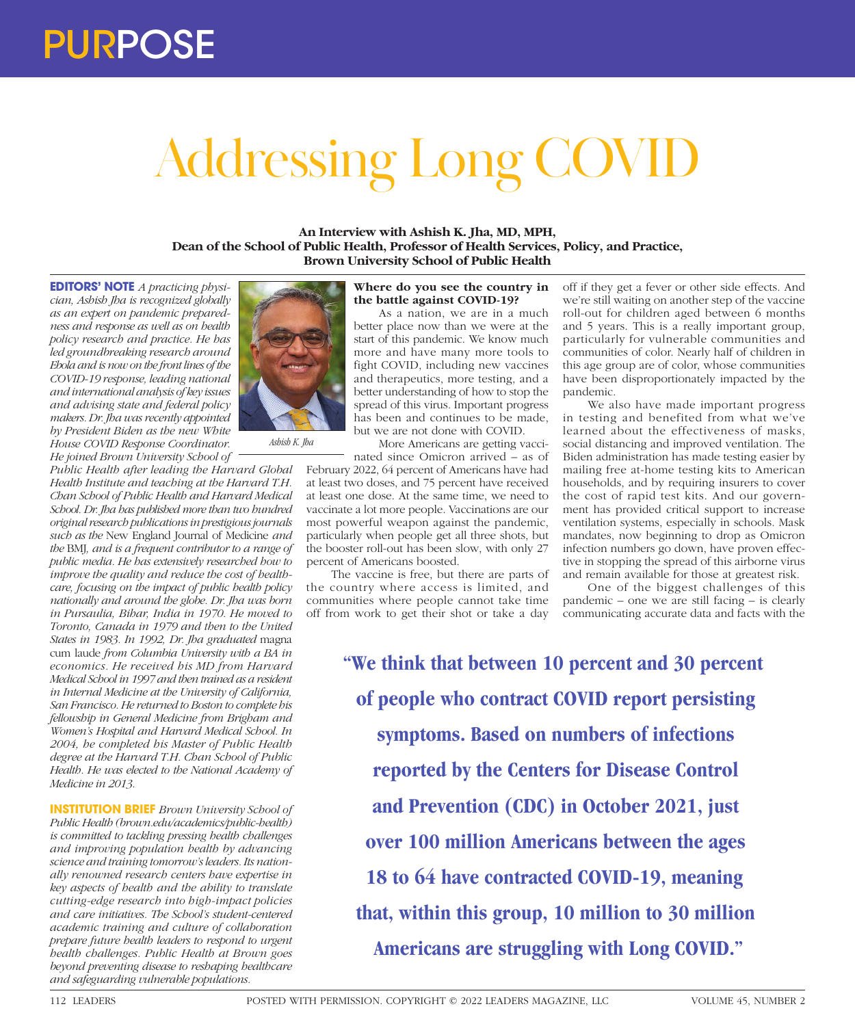# Addressing Long COVID

**An Interview with Ashish K. Jha, MD, MPH, Dean of the School of Public Health, Professor of Health Services, Policy, and Practice, Brown University School of Public Health**

**EDITORS' NOTE** *A practicing physician, Ashish Jha is recognized globally as an expert on pandemic preparedness and response as well as on health policy research and practice. He has led groundbreaking research around Ebola and is now on the front lines of the COVID-19 response, leading national and international analysis of key issues and advising state and federal policy makers. Dr. Jha was recently appointed by President Biden as the new White House COVID Response Coordinator. He joined Brown University School of* 

*Public Health after leading the Harvard Global Health Institute and teaching at the Harvard T.H. Chan School of Public Health and Harvard Medical School. Dr. Jha has published more than two hundred original research publications in prestigious journals such as the* New England Journal of Medicine *and the* BMJ*, and is a frequent contributor to a range of public media. He has extensively researched how to improve the quality and reduce the cost of healthcare, focusing on the impact of public health policy nationally and around the globe. Dr. Jha was born in Pursaulia, Bihar, India in 1970. He moved to Toronto, Canada in 1979 and then to the United States in 1983. In 1992, Dr. Jha graduated* magna cum laude *from Columbia University with a BA in economics. He received his MD from Harvard Medical School in 1997 and then trained as a resident in Internal Medicine at the University of California, San Francisco. He returned to Boston to complete his fellowship in General Medicine from Brigham and Women's Hospital and Harvard Medical School. In 2004, he completed his Master of Public Health degree at the Harvard T.H. Chan School of Public Health. He was elected to the National Academy of Medicine in 2013.*

**INSTITUTION BRIEF** *Brown University School of Public Health (brown.edu/academics/public-health) is committed to tackling pressing health challenges and improving population health by advancing science and training tomorrow's leaders. Its nationally renowned research centers have expertise in key aspects of health and the ability to translate cutting-edge research into high-impact policies and care initiatives. The School's student-centered academic training and culture of collaboration prepare future health leaders to respond to urgent health challenges. Public Health at Brown goes beyond preventing disease to reshaping healthcare and safeguarding vulnerable populations.*



As a nation, we are in a much better place now than we were at the start of this pandemic. We know much more and have many more tools to fight COVID, including new vaccines and therapeutics, more testing, and a better understanding of how to stop the spread of this virus. Important progress has been and continues to be made, but we are not done with COVID.

More Americans are getting vacci-

nated since Omicron arrived – as of February 2022, 64 percent of Americans have had at least two doses, and 75 percent have received at least one dose. At the same time, we need to vaccinate a lot more people. Vaccinations are our most powerful weapon against the pandemic, particularly when people get all three shots, but the booster roll-out has been slow, with only 27 percent of Americans boosted.

The vaccine is free, but there are parts of the country where access is limited, and communities where people cannot take time off from work to get their shot or take a day off if they get a fever or other side effects. And we're still waiting on another step of the vaccine roll-out for children aged between 6 months and 5 years. This is a really important group, particularly for vulnerable communities and communities of color. Nearly half of children in this age group are of color, whose communities have been disproportionately impacted by the pandemic.

We also have made important progress in testing and benefited from what we've learned about the effectiveness of masks, social distancing and improved ventilation. The Biden administration has made testing easier by mailing free at-home testing kits to American households, and by requiring insurers to cover the cost of rapid test kits. And our government has provided critical support to increase ventilation systems, especially in schools. Mask mandates, now beginning to drop as Omicron infection numbers go down, have proven effective in stopping the spread of this airborne virus and remain available for those at greatest risk.

One of the biggest challenges of this pandemic – one we are still facing – is clearly communicating accurate data and facts with the

**"We think that between 10 percent and 30 percent of people who contract COVID report persisting symptoms. Based on numbers of infections reported by the Centers for Disease Control and Prevention (CDC) in October 2021, just over 100 million Americans between the ages 18 to 64 have contracted COVID-19, meaning that, within this group, 10 million to 30 million Americans are struggling with Long COVID."**